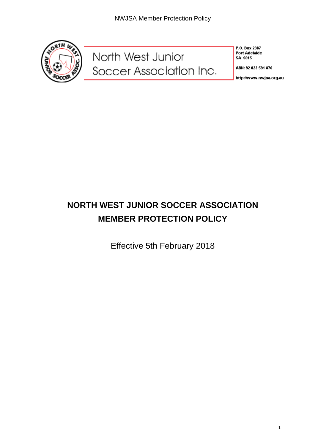

North West Junior<br>Soccer Association Inc.

P.O. Box 2387 **Port Adelaide** SA 5015

ABN: 92 023 591 876

http://www.nwjsa.org.au

# **NORTH WEST JUNIOR SOCCER ASSOCIATION MEMBER PROTECTION POLICY**

Effective 5th February 2018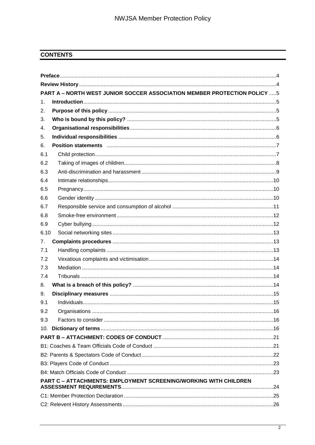### **CONTENTS**

| <b>PART A - NORTH WEST JUNIOR SOCCER ASSOCIATION MEMBER PROTECTION POLICY 5</b> |                                                                  |  |  |
|---------------------------------------------------------------------------------|------------------------------------------------------------------|--|--|
| 1 <sub>1</sub>                                                                  |                                                                  |  |  |
| 2.                                                                              |                                                                  |  |  |
| 3.                                                                              |                                                                  |  |  |
| 4.                                                                              |                                                                  |  |  |
| 5.                                                                              |                                                                  |  |  |
| 6.                                                                              |                                                                  |  |  |
| 6.1                                                                             |                                                                  |  |  |
| 6.2                                                                             |                                                                  |  |  |
| 6.3                                                                             |                                                                  |  |  |
| 6.4                                                                             |                                                                  |  |  |
| 6.5                                                                             |                                                                  |  |  |
| 6.6                                                                             |                                                                  |  |  |
| 6.7                                                                             |                                                                  |  |  |
| 6.8                                                                             |                                                                  |  |  |
| 6.9                                                                             |                                                                  |  |  |
| 6.10                                                                            |                                                                  |  |  |
| 7.                                                                              |                                                                  |  |  |
| 7.1                                                                             |                                                                  |  |  |
| 7.2                                                                             |                                                                  |  |  |
| 7.3                                                                             |                                                                  |  |  |
| 7.4                                                                             |                                                                  |  |  |
| 8.                                                                              |                                                                  |  |  |
| 9.                                                                              |                                                                  |  |  |
| 9.1                                                                             |                                                                  |  |  |
| 9.2                                                                             |                                                                  |  |  |
| 9.3                                                                             |                                                                  |  |  |
|                                                                                 |                                                                  |  |  |
|                                                                                 |                                                                  |  |  |
|                                                                                 |                                                                  |  |  |
|                                                                                 |                                                                  |  |  |
|                                                                                 |                                                                  |  |  |
|                                                                                 |                                                                  |  |  |
|                                                                                 | PART C - ATTACHMENTS: EMPLOYMENT SCREENING/WORKING WITH CHILDREN |  |  |
|                                                                                 |                                                                  |  |  |
|                                                                                 |                                                                  |  |  |
|                                                                                 |                                                                  |  |  |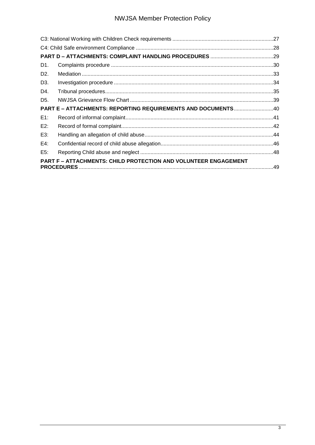## **NWJSA Member Protection Policy**

| D1.              |                                                                 |  |
|------------------|-----------------------------------------------------------------|--|
| D <sub>2</sub> . |                                                                 |  |
| D <sub>3</sub> . |                                                                 |  |
| D4.              |                                                                 |  |
| D <sub>5</sub> . |                                                                 |  |
|                  | PART E - ATTACHMENTS: REPORTING REQUIREMENTS AND DOCUMENTS40    |  |
| $E1$ :           |                                                                 |  |
| E2:              |                                                                 |  |
| E3:              |                                                                 |  |
| E4:              |                                                                 |  |
| E5:              |                                                                 |  |
|                  | PART F - ATTACHMENTS: CHILD PROTECTION AND VOLUNTEER ENGAGEMENT |  |
|                  |                                                                 |  |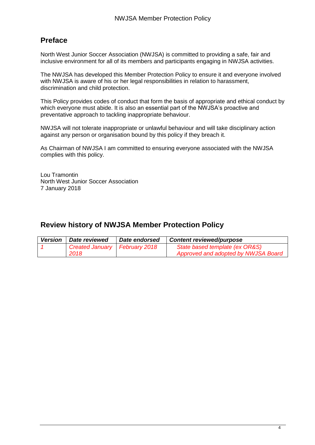## **Preface**

North West Junior Soccer Association (NWJSA) is committed to providing a safe, fair and inclusive environment for all of its members and participants engaging in NWJSA activities.

The NWJSA has developed this Member Protection Policy to ensure it and everyone involved with NWJSA is aware of his or her legal responsibilities in relation to harassment, discrimination and child protection.

This Policy provides codes of conduct that form the basis of appropriate and ethical conduct by which everyone must abide. It is also an essential part of the NWJSA's proactive and preventative approach to tackling inappropriate behaviour.

NWJSA will not tolerate inappropriate or unlawful behaviour and will take disciplinary action against any person or organisation bound by this policy if they breach it.

As Chairman of NWJSA I am committed to ensuring everyone associated with the NWJSA complies with this policy.

Lou Tramontin North West Junior Soccer Association 7 January 2018

## **Review history of NWJSA Member Protection Policy**

| <b>Version</b> | <b>Date reviewed</b>            | Date endorsed<br><b>Content reviewed/purpose</b> |                                     |
|----------------|---------------------------------|--------------------------------------------------|-------------------------------------|
|                | Created January   February 2018 |                                                  | State based template (ex OR&S)      |
|                | 2018                            |                                                  | Approved and adopted by NWJSA Board |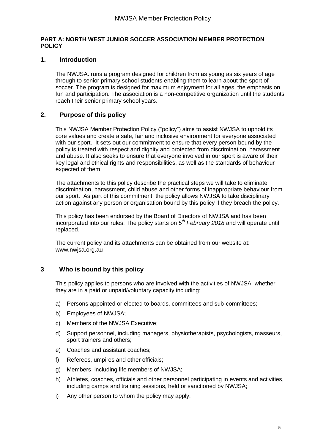### **PART A: NORTH WEST JUNIOR SOCCER ASSOCIATION MEMBER PROTECTION POLICY**

### **1. Introduction**

The NWJSA. runs a program designed for children from as young as six years of age through to senior primary school students enabling them to learn about the sport of soccer. The program is designed for maximum enjoyment for all ages, the emphasis on fun and participation. The association is a non-competitive organization until the students reach their senior primary school years.

### **2. Purpose of this policy**

This NWJSA Member Protection Policy ("policy") aims to assist NWJSA to uphold its core values and create a safe, fair and inclusive environment for everyone associated with our sport. It sets out our commitment to ensure that every person bound by the policy is treated with respect and dignity and protected from discrimination, harassment and abuse. It also seeks to ensure that everyone involved in our sport is aware of their key legal and ethical rights and responsibilities, as well as the standards of behaviour expected of them.

The attachments to this policy describe the practical steps we will take to eliminate discrimination, harassment, child abuse and other forms of inappropriate behaviour from our sport. As part of this commitment, the policy allows NWJSA to take disciplinary action against any person or organisation bound by this policy if they breach the policy.

This policy has been endorsed by the Board of Directors of NWJSA and has been incorporated into our rules. The policy starts on *5 th February 2018* and will operate until replaced.

The current policy and its attachments can be obtained from our website at: www.nwjsa.org.au

### **3 Who is bound by this policy**

This policy applies to persons who are involved with the activities of NWJSA*,* whether they are in a paid or unpaid/voluntary capacity including:

- a) Persons appointed or elected to boards, committees and sub-committees;
- b) Employees of NWJSA;
- c) Members of the NWJSA Executive;
- d) Support personnel, including managers, physiotherapists, psychologists, masseurs, sport trainers and others;
- e) Coaches and assistant coaches;
- f) Referees, umpires and other officials;
- g) Members, including life members of NWJSA;
- h) Athletes, coaches, officials and other personnel participating in events and activities, including camps and training sessions, held or sanctioned by NWJSA;
- i) Any other person to whom the policy may apply.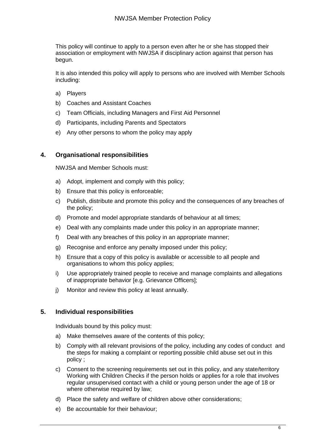This policy will continue to apply to a person even after he or she has stopped their association or employment with NWJSA if disciplinary action against that person has begun.

It is also intended this policy will apply to persons who are involved with Member Schools including:

- a) Players
- b) Coaches and Assistant Coaches
- c) Team Officials, including Managers and First Aid Personnel
- d) Participants, including Parents and Spectators
- e) Any other persons to whom the policy may apply

### **4. Organisational responsibilities**

NWJSA and Member Schools must:

- a) Adopt, implement and comply with this policy;
- b) Ensure that this policy is enforceable;
- c) Publish, distribute and promote this policy and the consequences of any breaches of the policy;
- d) Promote and model appropriate standards of behaviour at all times;
- e) Deal with any complaints made under this policy in an appropriate manner;
- f) Deal with any breaches of this policy in an appropriate manner;
- g) Recognise and enforce any penalty imposed under this policy;
- h) Ensure that a copy of this policy is available or accessible to all people and organisations to whom this policy applies;
- i) Use appropriately trained people to receive and manage complaints and allegations of inappropriate behavior [e.g. Grievance Officers];
- j) Monitor and review this policy at least annually.

### **5. Individual responsibilities**

Individuals bound by this policy must:

- a) Make themselves aware of the contents of this policy;
- b) Comply with all relevant provisions of the policy, including any codes of conduct and the steps for making a complaint or reporting possible child abuse set out in this policy ;
- c) Consent to the screening requirements set out in this policy, and any state/territory Working with Children Checks if the person holds or applies for a role that involves regular unsupervised contact with a child or young person under the age of 18 or where otherwise required by law;
- d) Place the safety and welfare of children above other considerations;
- e) Be accountable for their behaviour;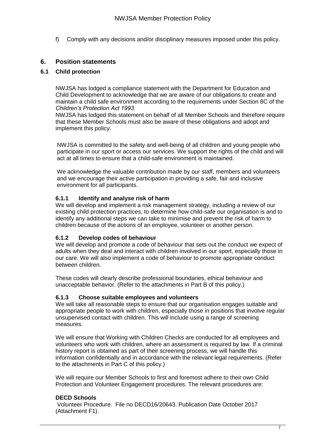f) Comply with any decisions and/or disciplinary measures imposed under this policy.

### **6. Position statements**

### **6.1 Child protection**

NWJSA has lodged a compliance statement with the Department for Education and Child Development to acknowledge that we are aware of our obligations to create and maintain a child safe environment according to the requirements under Section 8C of the *Children's Protection Act 1993.* 

NWJSA has lodged this statement on behalf of all Member Schools and therefore require that these Member Schools must also be aware of these obligations and adopt and implement this policy.

NWJSA is committed to the safety and well-being of all children and young people who participate in our sport or access our services. We support the rights of the child and will act at all times to ensure that a child-safe environment is maintained.

We acknowledge the valuable contribution made by our staff, members and volunteers and we encourage their active participation in providing a safe, fair and inclusive environment for all participants.

### **6.1.1 Identify and analyse risk of harm**

We will develop and implement a risk management strategy, including a review of our existing child protection practices, to determine how child-safe our organisation is and to identify any additional steps we can take to minimise and prevent the risk of harm to children because of the actions of an employee, volunteer or another person.

### **6.1.2 Develop codes of behaviour**

We will develop and promote a code of behaviour that sets out the conduct we expect of adults when they deal and interact with children involved in our sport, especially those in our care. We will also implement a code of behaviour to promote appropriate conduct between children.

These codes will clearly describe professional boundaries, ethical behaviour and unacceptable behavior. (Refer to the attachments in Part B of this policy.)

### **6.1.3 Choose suitable employees and volunteers**

We will take all reasonable steps to ensure that our organisation engages suitable and appropriate people to work with children, especially those in positions that involve regular unsupervised contact with children. This will include using a range of screening measures.

We will ensure that Working with Children Checks are conducted for all employees and volunteers who work with children, where an assessment is required by law. If a criminal history report is obtained as part of their screening process, we will handle this information confidentially and in accordance with the relevant legal requirements. (Refer to the attachments in Part C of this policy.)

We will require our Member Schools to first and foremost adhere to their own Child Protection and Volunteer Engagement procedures. The relevant procedures are:

### **DECD Schools**

Volunteer Procedure. File no DECD16/20643. Publication Date October 2017 (Attachment F1).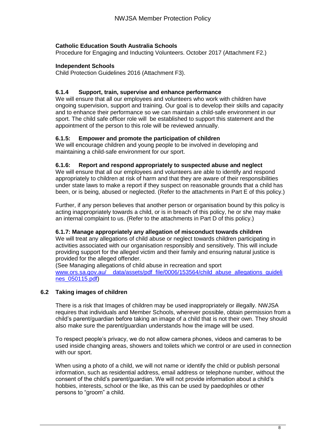### **Catholic Education South Australia Schools**

Procedure for Engaging and Inducting Volunteers. October 2017 (Attachment F2.)

### **Independent Schools**

Child Protection Guidelines 2016 (Attachment F3).

### **6.1.4 Support, train, supervise and enhance performance**

We will ensure that all our employees and volunteers who work with children have ongoing supervision, support and training. Our goal is to develop their skills and capacity and to enhance their performance so we can maintain a child-safe environment in our sport. The child safe officer role will be established to support this statement and the appointment of the person to this role will be reviewed annually.

### **6.1.5: Empower and promote the participation of children**

We will encourage children and young people to be involved in developing and maintaining a child-safe environment for our sport.

### **6.1.6: Report and respond appropriately to suspected abuse and neglect**

We will ensure that all our employees and volunteers are able to identify and respond appropriately to children at risk of harm and that they are aware of their responsibilities under state laws to make a report if they suspect on reasonable grounds that a child has been, or is being, abused or neglected. (Refer to the attachments in Part E of this policy.)

Further, if any person believes that another person or organisation bound by this policy is acting inappropriately towards a child, or is in breach of this policy, he or she may make an internal complaint to us. (Refer to the attachments in Part D of this policy.)

### **6.1.7: Manage appropriately any allegation of misconduct towards children**

We will treat any allegations of child abuse or neglect towards children participating in activities associated with our organisation responsibly and sensitively. This will include providing support for the alleged victim and their family and ensuring natural justice is provided for the alleged offender.

(See Managing allegations of child abuse in recreation and sport www.ors.sa.gov.au/ data/assets/pdf file/0006/153564/child abuse allegations quideli [nes\\_050115.pdf\)](http://www.ors.sa.gov.au/__data/assets/pdf_file/0006/153564/child_abuse_allegations_guidelines_050115.pdf)

### **6.2 Taking images of children**

There is a risk that Images of children may be used inappropriately or illegally. NWJSA requires that individuals and Member Schools, wherever possible, obtain permission from a child's parent/guardian before taking an image of a child that is not their own. They should also make sure the parent/guardian understands how the image will be used.

To respect people's privacy, we do not allow camera phones, videos and cameras to be used inside changing areas, showers and toilets which we control or are used in connection with our sport.

When using a photo of a child, we will not name or identify the child or publish personal information, such as residential address, email address or telephone number, without the consent of the child's parent/guardian. We will not provide information about a child's hobbies, interests, school or the like, as this can be used by paedophiles or other persons to "groom" a child.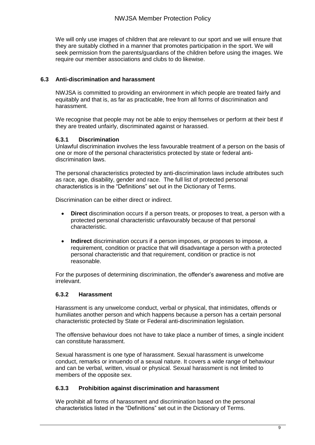We will only use images of children that are relevant to our sport and we will ensure that they are suitably clothed in a manner that promotes participation in the sport. We will seek permission from the parents/guardians of the children before using the images. We require our member associations and clubs to do likewise.

### **6.3 Anti-discrimination and harassment**

NWJSA is committed to providing an environment in which people are treated fairly and equitably and that is, as far as practicable, free from all forms of discrimination and harassment.

We recognise that people may not be able to enjoy themselves or perform at their best if they are treated unfairly, discriminated against or harassed.

### **6.3.1 Discrimination**

Unlawful discrimination involves the less favourable treatment of a person on the basis of one or more of the personal characteristics protected by state or federal antidiscrimination laws.

The personal characteristics protected by anti-discrimination laws include attributes such as race, age, disability, gender and race. The full list of protected personal characteristics is in the "Definitions" set out in the Dictionary of Terms.

Discrimination can be either direct or indirect.

- **Direct** discrimination occurs if a person treats, or proposes to treat, a person with a protected personal characteristic unfavourably because of that personal characteristic.
- **Indirect** discrimination occurs if a person imposes, or proposes to impose, a requirement, condition or practice that will disadvantage a person with a protected personal characteristic and that requirement, condition or practice is not reasonable.

For the purposes of determining discrimination, the offender's awareness and motive are irrelevant.

### **6.3.2 Harassment**

Harassment is any unwelcome conduct, verbal or physical, that intimidates, offends or humiliates another person and which happens because a person has a certain personal characteristic protected by State or Federal anti-discrimination legislation.

The offensive behaviour does not have to take place a number of times, a single incident can constitute harassment.

Sexual harassment is one type of harassment. Sexual harassment is unwelcome conduct, remarks or innuendo of a sexual nature. It covers a wide range of behaviour and can be verbal, written, visual or physical. Sexual harassment is not limited to members of the opposite sex.

### **6.3.3 Prohibition against discrimination and harassment**

We prohibit all forms of harassment and discrimination based on the personal characteristics listed in the "Definitions" set out in the Dictionary of Terms.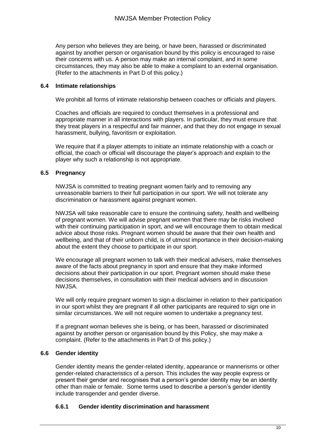Any person who believes they are being, or have been, harassed or discriminated against by another person or organisation bound by this policy is encouraged to raise their concerns with us. A person may make an internal complaint, and in some circumstances, they may also be able to make a complaint to an external organisation. (Refer to the attachments in Part D of this policy.)

### **6.4 Intimate relationships**

We prohibit all forms of intimate relationship between coaches or officials and players.

Coaches and officials are required to conduct themselves in a professional and appropriate manner in all interactions with players. In particular, they must ensure that they treat players in a respectful and fair manner, and that they do not engage in sexual harassment, bullying, favoritism or exploitation.

We require that if a player attempts to initiate an intimate relationship with a coach or official, the coach or official will discourage the player's approach and explain to the player why such a relationship is not appropriate.

### **6.5 Pregnancy**

NWJSA is committed to treating pregnant women fairly and to removing any unreasonable barriers to their full participation in our sport. We will not tolerate any discrimination or harassment against pregnant women.

NWJSA will take reasonable care to ensure the continuing safety, health and wellbeing of pregnant women. We will advise pregnant women that there may be risks involved with their continuing participation in sport, and we will encourage them to obtain medical advice about those risks. Pregnant women should be aware that their own health and wellbeing, and that of their unborn child, is of utmost importance in their decision-making about the extent they choose to participate in our sport.

We encourage all pregnant women to talk with their medical advisers, make themselves aware of the facts about pregnancy in sport and ensure that they make informed decisions about their participation in our sport. Pregnant women should make these decisions themselves, in consultation with their medical advisers and in discussion NWJSA.

We will only require pregnant women to sign a disclaimer in relation to their participation in our sport whilst they are pregnant if all other participants are required to sign one in similar circumstances. We will not require women to undertake a pregnancy test.

If a pregnant woman believes she is being, or has been, harassed or discriminated against by another person or organisation bound by this Policy, she may make a complaint. (Refer to the attachments in Part D of this policy.)

### **6.6 Gender identity**

Gender identity means the gender-related identity, appearance or mannerisms or other gender-related characteristics of a person. This includes the way people express or present their gender and recognises that a person's gender identity may be an identity other than male or female. Some terms used to describe a person's gender identity include transgender and gender diverse.

### **6.6.1 Gender identity discrimination and harassment**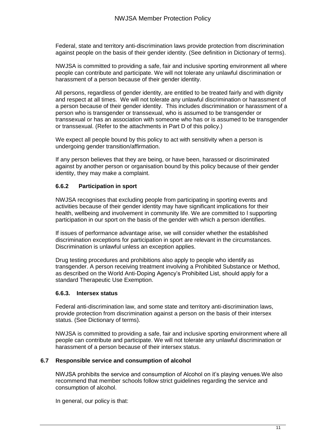Federal, state and territory anti-discrimination laws provide protection from discrimination against people on the basis of their gender identity. (See definition in Dictionary of terms).

NWJSA is committed to providing a safe, fair and inclusive sporting environment all where people can contribute and participate. We will not tolerate any unlawful discrimination or harassment of a person because of their gender identity.

All persons, regardless of gender identity, are entitled to be treated fairly and with dignity and respect at all times. We will not tolerate any unlawful discrimination or harassment of a person because of their gender identity. This includes discrimination or harassment of a person who is transgender or transsexual, who is assumed to be transgender or transsexual or has an association with someone who has or is assumed to be transgender or transsexual. (Refer to the attachments in Part D of this policy.)

We expect all people bound by this policy to act with sensitivity when a person is undergoing gender transition/affirmation.

If any person believes that they are being, or have been, harassed or discriminated against by another person or organisation bound by this policy because of their gender identity, they may make a complaint.

### **6.6.2 Participation in sport**

NWJSA recognises that excluding people from participating in sporting events and activities because of their gender identity may have significant implications for their health, wellbeing and involvement in community life. We are committed to l supporting participation in our sport on the basis of the gender with which a person identifies.

If issues of performance advantage arise, we will consider whether the established discrimination exceptions for participation in sport are relevant in the circumstances. Discrimination is unlawful unless an exception applies.

Drug testing procedures and prohibitions also apply to people who identify as transgender. A person receiving treatment involving a Prohibited Substance or Method, as described on the World Anti-Doping Agency's Prohibited List, should apply for a standard Therapeutic Use Exemption.

### **6.6.3. Intersex status**

Federal anti-discrimination law, and some state and territory anti-discrimination laws, provide protection from discrimination against a person on the basis of their intersex status. (See Dictionary of terms).

NWJSA is committed to providing a safe, fair and inclusive sporting environment where all people can contribute and participate. We will not tolerate any unlawful discrimination or harassment of a person because of their intersex status.

### **6.7 Responsible service and consumption of alcohol**

NWJSA prohibits the service and consumption of Alcohol on it's playing venues.We also recommend that member schools follow strict guidelines regarding the service and consumption of alcohol.

In general, our policy is that: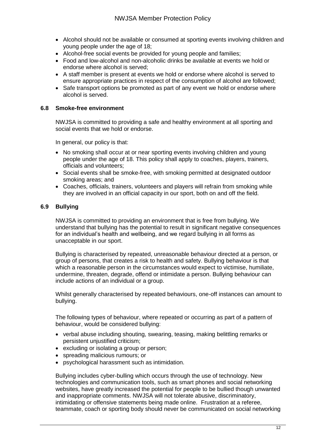- Alcohol should not be available or consumed at sporting events involving children and young people under the age of 18;
- Alcohol-free social events be provided for young people and families;
- Food and low-alcohol and non-alcoholic drinks be available at events we hold or endorse where alcohol is served;
- A staff member is present at events we hold or endorse where alcohol is served to ensure appropriate practices in respect of the consumption of alcohol are followed;
- Safe transport options be promoted as part of any event we hold or endorse where alcohol is served.

### **6.8 Smoke-free environment**

NWJSA is committed to providing a safe and healthy environment at all sporting and social events that we hold or endorse.

In general, our policy is that:

- No smoking shall occur at or near sporting events involving children and young people under the age of 18. This policy shall apply to coaches, players, trainers, officials and volunteers;
- Social events shall be smoke-free, with smoking permitted at designated outdoor smoking areas; and
- Coaches, officials, trainers, volunteers and players will refrain from smoking while they are involved in an official capacity in our sport, both on and off the field.

### **6.9 Bullying**

NWJSA is committed to providing an environment that is free from bullying. We understand that bullying has the potential to result in significant negative consequences for an individual's health and wellbeing, and we regard bullying in all forms as unacceptable in our sport.

Bullying is characterised by repeated, unreasonable behaviour directed at a person, or group of persons, that creates a risk to health and safety. Bullying behaviour is that which a reasonable person in the circumstances would expect to victimise, humiliate, undermine, threaten, degrade, offend or intimidate a person. Bullying behaviour can include actions of an individual or a group.

Whilst generally characterised by repeated behaviours, one-off instances can amount to bullying.

The following types of behaviour, where repeated or occurring as part of a pattern of behaviour, would be considered bullying:

- verbal abuse including shouting, swearing, teasing, making belittling remarks or persistent unjustified criticism;
- excluding or isolating a group or person;
- spreading malicious rumours; or
- psychological harassment such as intimidation.

Bullying includes cyber-bulling which occurs through the use of technology. New technologies and communication tools, such as smart phones and social networking websites, have greatly increased the potential for people to be bullied though unwanted and inappropriate comments. NWJSA will not tolerate abusive, discriminatory, intimidating or offensive statements being made online. Frustration at a referee, teammate, coach or sporting body should never be communicated on social networking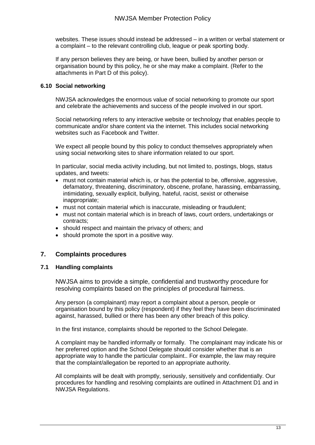websites. These issues should instead be addressed – in a written or verbal statement or a complaint – to the relevant controlling club, league or peak sporting body.

If any person believes they are being, or have been, bullied by another person or organisation bound by this policy, he or she may make a complaint. (Refer to the attachments in Part D of this policy).

### **6.10 Social networking**

NWJSA acknowledges the enormous value of social networking to promote our sport and celebrate the achievements and success of the people involved in our sport.

Social networking refers to any interactive website or technology that enables people to communicate and/or share content via the internet. This includes social networking websites such as Facebook and Twitter.

We expect all people bound by this policy to conduct themselves appropriately when using social networking sites to share information related to our sport.

In particular, social media activity including, but not limited to, postings, blogs, status updates, and tweets:

- must not contain material which is, or has the potential to be, offensive, aggressive, defamatory, threatening, discriminatory, obscene, profane, harassing, embarrassing, intimidating, sexually explicit, bullying, hateful, racist, sexist or otherwise inappropriate;
- must not contain material which is inaccurate, misleading or fraudulent;
- must not contain material which is in breach of laws, court orders, undertakings or contracts;
- should respect and maintain the privacy of others; and
- should promote the sport in a positive way.

### **7. Complaints procedures**

### **7.1 Handling complaints**

NWJSA aims to provide a simple, confidential and trustworthy procedure for resolving complaints based on the principles of procedural fairness.

Any person (a complainant) may report a complaint about a person, people or organisation bound by this policy (respondent) if they feel they have been discriminated against, harassed, bullied or there has been any other breach of this policy.

In the first instance, complaints should be reported to the School Delegate.

A complaint may be handled informally or formally. The complainant may indicate his or her preferred option and the School Delegate should consider whether that is an appropriate way to handle the particular complaint.. For example, the law may require that the complaint/allegation be reported to an appropriate authority.

All complaints will be dealt with promptly, seriously, sensitively and confidentially. Our procedures for handling and resolving complaints are outlined in Attachment D1 and in NWJSA Regulations.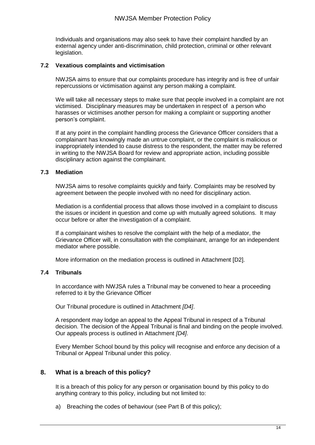Individuals and organisations may also seek to have their complaint handled by an external agency under anti-discrimination, child protection, criminal or other relevant legislation.

### **7.2 Vexatious complaints and victimisation**

NWJSA aims to ensure that our complaints procedure has integrity and is free of unfair repercussions or victimisation against any person making a complaint.

We will take all necessary steps to make sure that people involved in a complaint are not victimised. Disciplinary measures may be undertaken in respect of a person who harasses or victimises another person for making a complaint or supporting another person's complaint.

If at any point in the complaint handling process the Grievance Officer considers that a complainant has knowingly made an untrue complaint, or the complaint is malicious or inappropriately intended to cause distress to the respondent, the matter may be referred in writing to the NWJSA Board for review and appropriate action, including possible disciplinary action against the complainant.

### **7.3 Mediation**

NWJSA aims to resolve complaints quickly and fairly. Complaints may be resolved by agreement between the people involved with no need for disciplinary action.

Mediation is a confidential process that allows those involved in a complaint to discuss the issues or incident in question and come up with mutually agreed solutions. It may occur before or after the investigation of a complaint.

If a complainant wishes to resolve the complaint with the help of a mediator, the Grievance Officer will, in consultation with the complainant, arrange for an independent mediator where possible.

More information on the mediation process is outlined in Attachment [D2].

### **7.4 Tribunals**

In accordance with NWJSA rules a Tribunal may be convened to hear a proceeding referred to it by the Grievance Officer

Our Tribunal procedure is outlined in Attachment *[D4]*.

A respondent may lodge an appeal to the Appeal Tribunal in respect of a Tribunal decision. The decision of the Appeal Tribunal is final and binding on the people involved. Our appeals process is outlined in Attachment *[D4]*.

Every Member School bound by this policy will recognise and enforce any decision of a Tribunal or Appeal Tribunal under this policy.

### **8. What is a breach of this policy?**

It is a breach of this policy for any person or organisation bound by this policy to do anything contrary to this policy, including but not limited to:

a) Breaching the codes of behaviour (see Part B of this policy);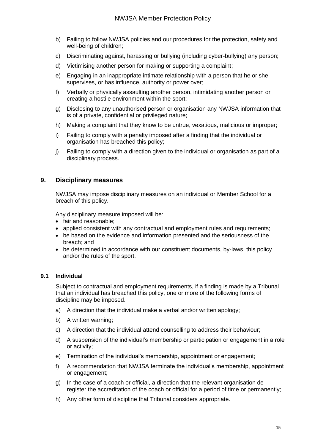- b) Failing to follow NWJSA policies and our procedures for the protection, safety and well-being of children;
- c) Discriminating against, harassing or bullying (including cyber-bullying) any person;
- d) Victimising another person for making or supporting a complaint;
- e) Engaging in an inappropriate intimate relationship with a person that he or she supervises, or has influence, authority or power over;
- f) Verbally or physically assaulting another person, intimidating another person or creating a hostile environment within the sport;
- g) Disclosing to any unauthorised person or organisation any NWJSA information that is of a private, confidential or privileged nature;
- h) Making a complaint that they know to be untrue, vexatious, malicious or improper;
- i) Failing to comply with a penalty imposed after a finding that the individual or organisation has breached this policy;
- j) Failing to comply with a direction given to the individual or organisation as part of a disciplinary process.

### **9. Disciplinary measures**

NWJSA may impose disciplinary measures on an individual or Member School for a breach of this policy.

Any disciplinary measure imposed will be:

- fair and reasonable;
- applied consistent with any contractual and employment rules and requirements;
- be based on the evidence and information presented and the seriousness of the breach; and
- be determined in accordance with our constituent documents, by-laws, this policy and/or the rules of the sport.

### **9.1 Individual**

Subject to contractual and employment requirements, if a finding is made by a Tribunal that an individual has breached this policy, one or more of the following forms of discipline may be imposed.

- a) A direction that the individual make a verbal and/or written apology;
- b) A written warning;
- c) A direction that the individual attend counselling to address their behaviour;
- d) A suspension of the individual's membership or participation or engagement in a role or activity;
- e) Termination of the individual's membership, appointment or engagement;
- f) A recommendation that NWJSA terminate the individual's membership, appointment or engagement;
- g) In the case of a coach or official, a direction that the relevant organisation deregister the accreditation of the coach or official for a period of time or permanently;
- h) Any other form of discipline that Tribunal considers appropriate.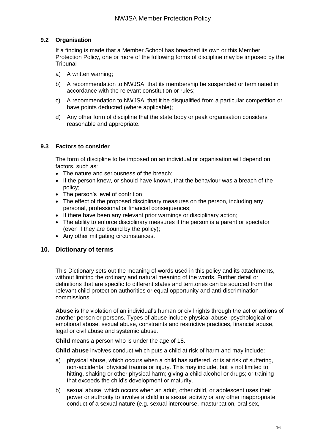### **9.2 Organisation**

If a finding is made that a Member School has breached its own or this Member Protection Policy*,* one or more of the following forms of discipline may be imposed by the **Tribunal** 

- a) A written warning;
- b) A recommendation to NWJSA that its membership be suspended or terminated in accordance with the relevant constitution or rules;
- c) A recommendation to NWJSA that it be disqualified from a particular competition or have points deducted (where applicable);
- d) Any other form of discipline that the state body or peak organisation considers reasonable and appropriate.

### **9.3 Factors to consider**

The form of discipline to be imposed on an individual or organisation will depend on factors, such as:

- The nature and seriousness of the breach;
- If the person knew, or should have known, that the behaviour was a breach of the policy;
- The person's level of contrition;
- The effect of the proposed disciplinary measures on the person, including any personal, professional or financial consequences;
- If there have been any relevant prior warnings or disciplinary action;
- The ability to enforce disciplinary measures if the person is a parent or spectator (even if they are bound by the policy);
- Any other mitigating circumstances.

### **10. Dictionary of terms**

This Dictionary sets out the meaning of words used in this policy and its attachments, without limiting the ordinary and natural meaning of the words. Further detail or definitions that are specific to different states and territories can be sourced from the relevant child protection authorities or equal opportunity and anti-discrimination commissions.

**Abuse** is the violation of an individual's human or civil rights through the act or actions of another person or persons. Types of abuse include physical abuse, psychological or emotional abuse, sexual abuse, constraints and restrictive practices, financial abuse, legal or civil abuse and systemic abuse.

**Child** means a person who is under the age of 18.

**Child abuse** involves conduct which puts a child at risk of harm and may include:

- a) physical abuse, which occurs when a child has suffered, or is at risk of suffering, non-accidental physical trauma or injury. This may include, but is not limited to, hitting, shaking or other physical harm; giving a child alcohol or drugs; or training that exceeds the child's development or maturity.
- b) sexual abuse, which occurs when an adult, other child, or adolescent uses their power or authority to involve a child in a sexual activity or any other inappropriate conduct of a sexual nature (e.g. sexual intercourse, masturbation, oral sex,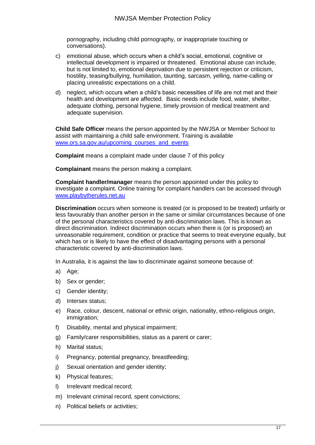pornography, including child pornography, or inappropriate touching or conversations).

- c) emotional abuse, which occurs when a child's social, emotional, cognitive or intellectual development is impaired or threatened. Emotional abuse can include, but is not limited to, emotional deprivation due to persistent rejection or criticism, hostility, teasing/bullying, humiliation, taunting, sarcasm, yelling, name-calling or placing unrealistic expectations on a child.
- d) neglect, which occurs when a child's basic necessities of life are not met and their health and development are affected. Basic needs include food, water, shelter, adequate clothing, personal hygiene, timely provision of medical treatment and adequate supervision.

**Child Safe Officer** means the person appointed by the NWJSA or Member School to assist with maintaining a child safe environment. Training is available [www.ors.sa.gov.au/upcoming\\_courses\\_and\\_events](http://www.ors.sa.gov.au/upcoming_courses_and_events)

**Complaint** means a complaint made under clause 7 of this policy

**Complainant** means the person making a complaint.

**Complaint handler/manager** means the person appointed under this policy to investigate a complaint. Online training for complaint handlers can be accessed through [www.playbytherules.net.au](http://www.playbytherules.net.au/)

**Discrimination** occurs when someone is treated (or is proposed to be treated) unfairly or less favourably than another person in the same or similar circumstances because of one of the personal characteristics covered by anti-discrimination laws. This is known as direct discrimination. Indirect discrimination occurs when there is (or is proposed) an unreasonable requirement, condition or practice that seems to treat everyone equally, but which has or is likely to have the effect of disadvantaging persons with a personal characteristic covered by anti-discrimination laws.

In Australia, it is against the law to discriminate against someone because of:

- a) Age;
- b) Sex or gender;
- c) Gender identity;
- d) Intersex status;
- e) Race, colour, descent, national or ethnic origin, nationality, ethno-religious origin, immigration;
- f) Disability, mental and physical impairment;
- g) Family/carer responsibilities, status as a parent or carer;
- h) Marital status;
- i) Pregnancy, potential pregnancy, breastfeeding;
- j) Sexual orientation and gender identity;
- k) Physical features;
- l) Irrelevant medical record;
- m) Irrelevant criminal record, spent convictions;
- n) Political beliefs or activities;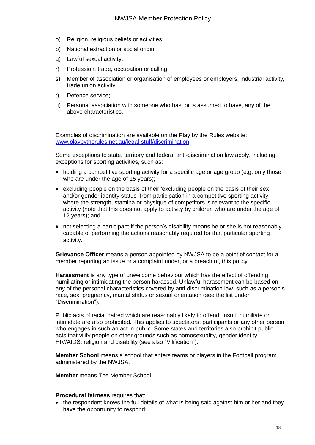- o) Religion, religious beliefs or activities;
- p) National extraction or social origin;
- q) Lawful sexual activity;
- r) Profession, trade, occupation or calling;
- s) Member of association or organisation of employees or employers, industrial activity, trade union activity;
- t) Defence service;
- u) Personal association with someone who has, or is assumed to have, any of the above characteristics.

Examples of discrimination are available on the Play by the Rules website: [www.playbytherules.net.au/legal-stuff/discrimination](http://www.playbytherules.net.au/legal-stuff/discrimination)

Some exceptions to state, territory and federal anti-discrimination law apply, including exceptions for sporting activities, such as:

- holding a competitive sporting activity for a specific age or age group (e.g. only those who are under the age of 15 years);
- excluding people on the basis of their 'excluding people on the basis of their sex and/or gender identity status from participation in a competitive sporting activity where the strength, stamina or physique of competitors is relevant to the specific activity (note that this does not apply to activity by children who are under the age of 12 years); and
- not selecting a participant if the person's disability means he or she is not reasonably capable of performing the actions reasonably required for that particular sporting activity.

**Grievance Officer** means a person appointed by NWJSA to be a point of contact for a member reporting an issue or a complaint under, or a breach of, this policy

**Harassment** is any type of unwelcome behaviour which has the effect of offending, humiliating or intimidating the person harassed. Unlawful harassment can be based on any of the personal characteristics covered by anti-discrimination law, such as a person's race, sex, pregnancy, marital status or sexual orientation (see the list under "Discrimination").

Public acts of racial hatred which are reasonably likely to offend, insult, humiliate or intimidate are also prohibited. This applies to spectators, participants or any other person who engages in such an act in public. Some states and territories also prohibit public acts that vilify people on other grounds such as homosexuality, gender identity, HIV/AIDS, religion and disability (see also "Vilification").

**Member School** means a school that enters teams or players in the Football program administered by the NWJSA.

**Member** means The Member School.

### **Procedural fairness** requires that:

• the respondent knows the full details of what is being said against him or her and they have the opportunity to respond;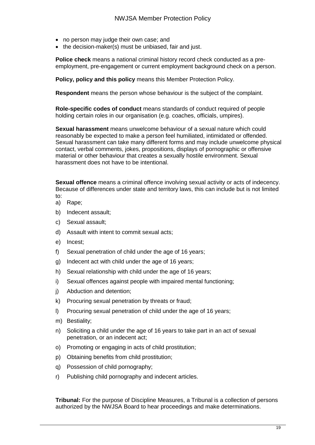- no person may judge their own case; and
- the decision-maker(s) must be unbiased, fair and just.

**Police check** means a national criminal history record check conducted as a preemployment, pre-engagement or current employment background check on a person.

**Policy, policy and this policy** means this Member Protection Policy.

**Respondent** means the person whose behaviour is the subject of the complaint.

**Role-specific codes of conduct** means standards of conduct required of people holding certain roles in our organisation (e.g. coaches, officials, umpires).

**Sexual harassment** means unwelcome behaviour of a sexual nature which could reasonably be expected to make a person feel humiliated, intimidated or offended. Sexual harassment can take many different forms and may include unwelcome physical contact, verbal comments, jokes, propositions, displays of pornographic or offensive material or other behaviour that creates a sexually hostile environment. Sexual harassment does not have to be intentional.

**Sexual offence** means a criminal offence involving sexual activity or acts of indecency. Because of differences under state and territory laws, this can include but is not limited to:

- a) Rape;
- b) Indecent assault;
- c) Sexual assault;
- d) Assault with intent to commit sexual acts;
- e) Incest;
- f) Sexual penetration of child under the age of 16 years;
- g) Indecent act with child under the age of 16 years;
- h) Sexual relationship with child under the age of 16 years;
- i) Sexual offences against people with impaired mental functioning;
- j) Abduction and detention;
- k) Procuring sexual penetration by threats or fraud;
- l) Procuring sexual penetration of child under the age of 16 years;
- m) Bestiality;
- n) Soliciting a child under the age of 16 years to take part in an act of sexual penetration, or an indecent act;
- o) Promoting or engaging in acts of child prostitution;
- p) Obtaining benefits from child prostitution;
- q) Possession of child pornography;
- r) Publishing child pornography and indecent articles.

**Tribunal:** For the purpose of Discipline Measures, a Tribunal is a collection of persons authorized by the NWJSA Board to hear proceedings and make determinations.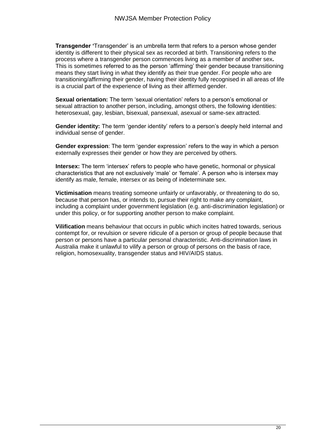**Transgender '**Transgender' is an umbrella term that refers to a person whose gender identity is different to their physical sex as recorded at birth. Transitioning refers to the process where a transgender person commences living as a member of another sex**.**  This is sometimes referred to as the person 'affirming' their gender because transitioning means they start living in what they identify as their true gender. For people who are transitioning/affirming their gender, having their identity fully recognised in all areas of life is a crucial part of the experience of living as their affirmed gender.

**Sexual orientation:** The term 'sexual orientation' refers to a person's emotional or sexual attraction to another person, including, amongst others, the following identities: heterosexual, gay, lesbian, bisexual, pansexual, asexual or same-sex attracted.

**Gender identity:** The term 'gender identity' refers to a person's deeply held internal and individual sense of gender.

**Gender expression**: The term 'gender expression' refers to the way in which a person externally expresses their gender or how they are perceived by others.

**Intersex:** The term 'intersex' refers to people who have genetic, hormonal or physical characteristics that are not exclusively 'male' or 'female'. A person who is intersex may identify as male, female, intersex or as being of indeterminate sex.

**Victimisation** means treating someone unfairly or unfavorably, or threatening to do so, because that person has, or intends to, pursue their right to make any complaint, including a complaint under government legislation (e.g. anti-discrimination legislation) or under this policy, or for supporting another person to make complaint.

**Vilification** means behaviour that occurs in public which incites hatred towards, serious contempt for, or revulsion or severe ridicule of a person or group of people because that person or persons have a particular personal characteristic. Anti-discrimination laws in Australia make it unlawful to vilify a person or group of persons on the basis of race, religion, homosexuality, transgender status and HIV/AIDS status.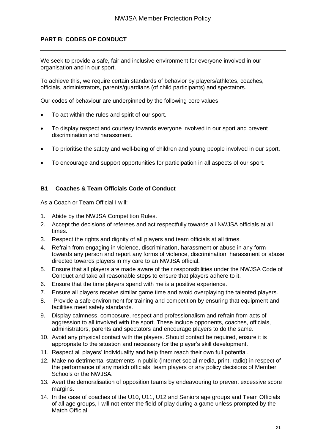### **PART B**: **CODES OF CONDUCT**

We seek to provide a safe, fair and inclusive environment for everyone involved in our organisation and in our sport.

To achieve this, we require certain standards of behavior by players/athletes, coaches, officials, administrators, parents/guardians (of child participants) and spectators.

Our codes of behaviour are underpinned by the following core values.

- To act within the rules and spirit of our sport.
- To display respect and courtesy towards everyone involved in our sport and prevent discrimination and harassment.
- To prioritise the safety and well-being of children and young people involved in our sport.
- To encourage and support opportunities for participation in all aspects of our sport.

### **B1 Coaches & Team Officials Code of Conduct**

As a Coach or Team Official I will:

- 1. Abide by the NWJSA Competition Rules.
- 2. Accept the decisions of referees and act respectfully towards all NWJSA officials at all times.
- 3. Respect the rights and dignity of all players and team officials at all times.
- 4. Refrain from engaging in violence, discrimination, harassment or abuse in any form towards any person and report any forms of violence, discrimination, harassment or abuse directed towards players in my care to an NWJSA official.
- 5. Ensure that all players are made aware of their responsibilities under the NWJSA Code of Conduct and take all reasonable steps to ensure that players adhere to it.
- 6. Ensure that the time players spend with me is a positive experience.
- 7. Ensure all players receive similar game time and avoid overplaying the talented players.
- 8. Provide a safe environment for training and competition by ensuring that equipment and facilities meet safety standards.
- 9. Display calmness, composure, respect and professionalism and refrain from acts of aggression to all involved with the sport. These include opponents, coaches, officials, administrators, parents and spectators and encourage players to do the same.
- 10. Avoid any physical contact with the players. Should contact be required, ensure it is appropriate to the situation and necessary for the player's skill development.
- 11. Respect all players' individuality and help them reach their own full potential.
- 12. Make no detrimental statements in public (internet social media, print, radio) in respect of the performance of any match officials, team players or any policy decisions of Member Schools or the NWJSA.
- 13. Avert the demoralisation of opposition teams by endeavouring to prevent excessive score margins.
- 14. In the case of coaches of the U10, U11, U12 and Seniors age groups and Team Officials of all age groups, I will not enter the field of play during a game unless prompted by the Match Official.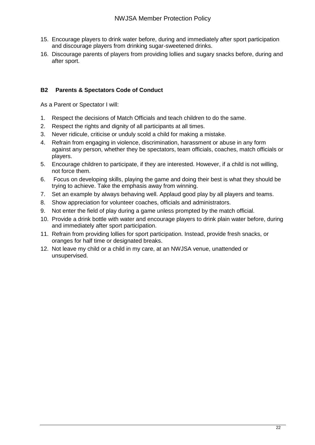- 15. Encourage players to drink water before, during and immediately after sport participation and discourage players from drinking sugar-sweetened drinks.
- 16. Discourage parents of players from providing lollies and sugary snacks before, during and after sport.

### **B2 Parents & Spectators Code of Conduct**

As a Parent or Spectator I will:

- 1. Respect the decisions of Match Officials and teach children to do the same.
- 2. Respect the rights and dignity of all participants at all times.
- 3. Never ridicule, criticise or unduly scold a child for making a mistake.
- 4. Refrain from engaging in violence, discrimination, harassment or abuse in any form against any person, whether they be spectators, team officials, coaches, match officials or players.
- 5. Encourage children to participate, if they are interested. However, if a child is not willing, not force them.
- 6. Focus on developing skills, playing the game and doing their best is what they should be trying to achieve. Take the emphasis away from winning.
- 7. Set an example by always behaving well. Applaud good play by all players and teams.
- 8. Show appreciation for volunteer coaches, officials and administrators.
- 9. Not enter the field of play during a game unless prompted by the match official.
- 10. Provide a drink bottle with water and encourage players to drink plain water before, during and immediately after sport participation.
- 11. Refrain from providing lollies for sport participation. Instead, provide fresh snacks, or oranges for half time or designated breaks.
- 12. Not leave my child or a child in my care, at an NWJSA venue, unattended or unsupervised.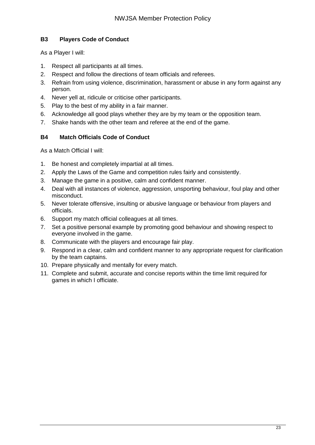### **B3 Players Code of Conduct**

As a Player I will:

- 1. Respect all participants at all times.
- 2. Respect and follow the directions of team officials and referees.
- 3. Refrain from using violence, discrimination, harassment or abuse in any form against any person.
- 4. Never yell at, ridicule or criticise other participants.
- 5. Play to the best of my ability in a fair manner.
- 6. Acknowledge all good plays whether they are by my team or the opposition team.
- 7. Shake hands with the other team and referee at the end of the game.

### **B4 Match Officials Code of Conduct**

As a Match Official I will:

- 1. Be honest and completely impartial at all times.
- 2. Apply the Laws of the Game and competition rules fairly and consistently.
- 3. Manage the game in a positive, calm and confident manner.
- 4. Deal with all instances of violence, aggression, unsporting behaviour, foul play and other misconduct.
- 5. Never tolerate offensive, insulting or abusive language or behaviour from players and officials.
- 6. Support my match official colleagues at all times.
- 7. Set a positive personal example by promoting good behaviour and showing respect to everyone involved in the game.
- 8. Communicate with the players and encourage fair play.
- 9. Respond in a clear, calm and confident manner to any appropriate request for clarification by the team captains.
- 10. Prepare physically and mentally for every match.
- 11. Complete and submit, accurate and concise reports within the time limit required for games in which I officiate.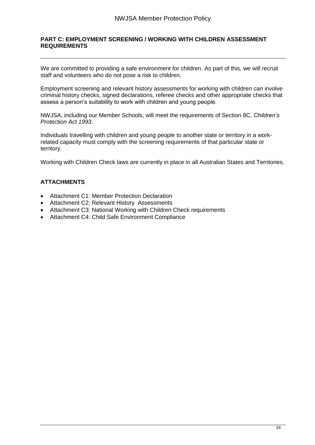### **PART C: EMPLOYMENT SCREENING / WORKING WITH CHILDREN ASSESSMENT REQUIREMENTS**

We are committed to providing a safe environment for children. As part of this, we will recruit staff and volunteers who do not pose a risk to children.

Employment screening and relevant history assessments for working with children can involve criminal history checks, signed declarations, referee checks and other appropriate checks that assess a person's suitability to work with children and young people.

NWJSA, including our Member Schools, will meet the requirements of Section 8C, *Children's Protection Act 1993*.

Individuals travelling with children and young people to another state or territory in a workrelated capacity must comply with the screening requirements of that particular state or territory.

Working with Children Check laws are currently in place in all Australian States and Territories.

### **ATTACHMENTS**

- Attachment C1: Member Protection Declaration
- Attachment C2: Relevant History Assessments
- Attachment C3: National Working with Children Check requirements
- Attachment C4: Child Safe Environment Compliance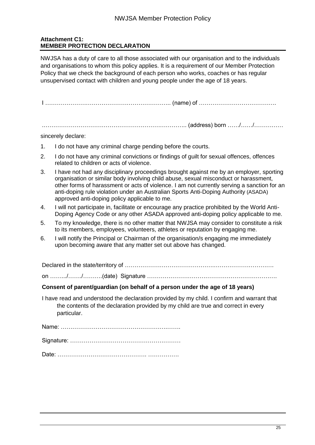### **Attachment C1: MEMBER PROTECTION DECLARATION**

NWJSA has a duty of care to all those associated with our organisation and to the individuals and organisations to whom this policy applies. It is a requirement of our Member Protection Policy that we check the background of each person who works, coaches or has regular unsupervised contact with children and young people under the age of 18 years.

I ……………………………………………………….. (name) of ………………………………….

.……………………………………………………………….. (address) born ……/……/……………

sincerely declare:

- 1. I do not have any criminal charge pending before the courts.
- 2. I do not have any criminal convictions or findings of guilt for sexual offences, offences related to children or acts of violence.
- 3. I have not had any disciplinary proceedings brought against me by an employer, sporting organisation or similar body involving child abuse, sexual misconduct or harassment, other forms of harassment or acts of violence. I am not currently serving a sanction for an anti-doping rule violation under an Australian Sports Anti-Doping Authority (ASADA) approved anti-doping policy applicable to me.
- 4. I will not participate in, facilitate or encourage any practice prohibited by the World Anti-Doping Agency Code or any other ASADA approved anti-doping policy applicable to me.
- 5. To my knowledge, there is no other matter that NWJSA may consider to constitute a risk to its members, employees, volunteers, athletes or reputation by engaging me.
- 6. I will notify the Principal or Chairman of the organisation/s engaging me immediately upon becoming aware that any matter set out above has changed.

Declared in the state/territory of ……………………………………….…………………………. on …….../……./……….(date) Signature ………………………………………………………….

### **Consent of parent/guardian (on behalf of a person under the age of 18 years)**

I have read and understood the declaration provided by my child. I confirm and warrant that the contents of the declaration provided by my child are true and correct in every particular.

Name: ……………………………………………….……. Signature: …………………………………………………

Date: ………………………………………. …………….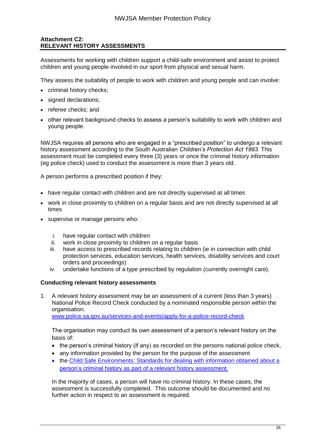### **Attachment C2: RELEVANT HISTORY ASSESSMENTS**

Assessments for working with children support a child-safe environment and assist to protect children and young people involved in our sport from physical and sexual harm.

They assess the suitability of people to work with children and young people and can involve:

- criminal history checks;
- signed declarations;
- referee checks: and
- other relevant background checks to assess a person's suitability to work with children and young people.

NWJSA requires all persons who are engaged in a "prescribed position" to undergo a relevant history assessment according to the South Australian *Children's Protection Act 1993.* This assessment must be completed every three (3) years or once the criminal history information (eg police check) used to conduct the assessment is more than 3 years old.

A person performs a prescribed position if they:

- have regular contact with children and are not directly supervised at all times
- work in close proximity to children on a regular basis and are not directly supervised at all times
- supervise or manage persons who:
	- i. have regular contact with children
	- ii. work in close proximity to children on a regular basis
	- iii. have access to prescribed records relating to children (ie in connection with child protection services, education services, health services, disability services and court orders and proceedings)
	- iv. undertake functions of a type prescribed by regulation (currently overnight care).

### **Conducting relevant history assessments**

1. A relevant history assessment may be an assessment of a current (less than 3 years) National Police Record Check conducted by a nominated responsible person within the organisation.

[www.police.sa.gov.au/services-and-events/apply-for-a-police-record-check](http://www.police.sa.gov.au/services-and-events/apply-for-a-police-record-check)

The organisation may conduct its own assessment of a person's relevant history on the basis of:

- the person's criminal history (if any) as recorded on the persons national police check,
- any information provided by the person for the purpose of the assessment
- the Child Safe Environments: Standards for dealing with information obtained about a person's criminal history [as part of a relevant history assessment.](http://www.decd.sa.gov.au/docs/documents/1/CSEStdsInfoCrimHist.pdf)

In the majority of cases, a person will have no criminal history. In these cases, the assessment is successfully completed. This outcome should be documented and no further action in respect to an assessment is required.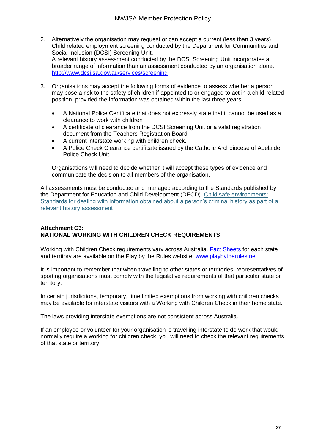- 2. Alternatively the organisation may request or can accept a current (less than 3 years) Child related employment screening conducted by the Department for Communities and Social Inclusion (DCSI) Screening Unit. A relevant history assessment conducted by the DCSI Screening Unit incorporates a broader range of information than an assessment conducted by an organisation alone. <http://www.dcsi.sa.gov.au/services/screening>
- 3. Organisations may accept the following forms of evidence to assess whether a person may pose a risk to the safety of children if appointed to or engaged to act in a child-related position, provided the information was obtained within the last three years:
	- A National Police Certificate that does not expressly state that it cannot be used as a clearance to work with children
	- A certificate of clearance from the DCSI Screening Unit or a valid registration document from the Teachers Registration Board
	- A current interstate working with children check.
	- A Police Check Clearance certificate issued by the Catholic Archdiocese of Adelaide Police Check Unit.

Organisations will need to decide whether it will accept these types of evidence and communicate the decision to all members of the organisation.

All assessments must be conducted and managed according to the Standards published by the Department for Education and Child Development (DECD) [Child safe environments:](http://www.decd.sa.gov.au/docs/documents/1/CSEStdsInfoCrimHist.pdf)  [Standards for dealing with information obtained about a person's criminal history as part of a](http://www.decd.sa.gov.au/docs/documents/1/CSEStdsInfoCrimHist.pdf)  [relevant history assessment](http://www.decd.sa.gov.au/docs/documents/1/CSEStdsInfoCrimHist.pdf)

### **Attachment C3: NATIONAL WORKING WITH CHILDREN CHECK REQUIREMENTS**

Working with Children Check requirements vary across Australia. **Fact Sheets** for each state and territory are available on the Play by the Rules website: [www.playbytherules.net](http://www.playbytherules.net/)

It is important to remember that when travelling to other states or territories, representatives of sporting organisations must comply with the legislative requirements of that particular state or territory.

In certain jurisdictions, temporary, time limited exemptions from working with children checks may be available for interstate visitors with a Working with Children Check in their home state.

The laws providing interstate exemptions are not consistent across Australia.

If an employee or volunteer for your organisation is travelling interstate to do work that would normally require a working for children check, you will need to check the relevant requirements of that state or territory.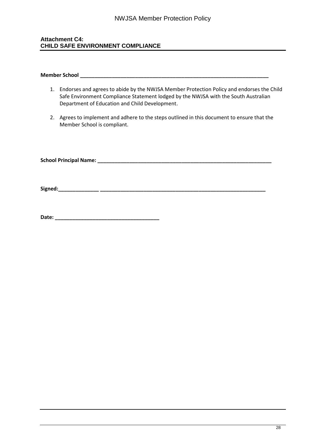### **Attachment C4: CHILD SAFE ENVIRONMENT COMPLIANCE**

#### **Member School and the state of the state of the state of the state of the state of the state of the state of the state of the state of the state of the state of the state of the state of the state of the state of the st**

- 1. Endorses and agrees to abide by the NWJSA Member Protection Policy and endorses the Child Safe Environment Compliance Statement lodged by the NWJSA with the South Australian Department of Education and Child Development.
- 2. Agrees to implement and adhere to the steps outlined in this document to ensure that the Member School is compliant.

**School Principal Name: \_\_\_\_\_\_\_\_\_\_\_\_\_\_\_\_\_\_\_\_\_\_\_\_\_\_\_\_\_\_\_\_\_\_\_\_\_\_\_\_\_\_\_\_\_\_\_\_\_\_\_\_\_\_\_\_\_\_\_\_** 

**Signed:\_\_\_\_\_\_\_\_\_\_\_\_\_\_ \_\_\_\_\_\_\_\_\_\_\_\_\_\_\_\_\_\_\_\_\_\_\_\_\_\_\_\_\_\_\_\_\_\_\_\_\_\_\_\_\_\_\_\_\_\_\_\_\_\_\_\_\_\_\_\_\_** 

**Date: \_\_\_\_\_\_\_\_\_\_\_\_\_\_\_\_\_\_\_\_\_\_\_\_\_\_\_\_\_\_\_\_\_\_\_\_**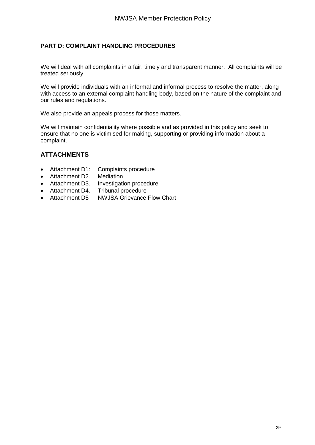### **PART D: COMPLAINT HANDLING PROCEDURES**

We will deal with all complaints in a fair, timely and transparent manner. All complaints will be treated seriously.

We will provide individuals with an informal and informal process to resolve the matter, along with access to an external complaint handling body, based on the nature of the complaint and our rules and regulations.

We also provide an appeals process for those matters.

We will maintain confidentiality where possible and as provided in this policy and seek to ensure that no one is victimised for making, supporting or providing information about a complaint.

### **ATTACHMENTS**

- Attachment D1: Complaints procedure<br>• Attachment D2. Mediation
- Attachment D2.
- Attachment D3. Investigation procedure
- Attachment D4. Tribunal procedure
- Attachment D5 NWJSA Grievance Flow Chart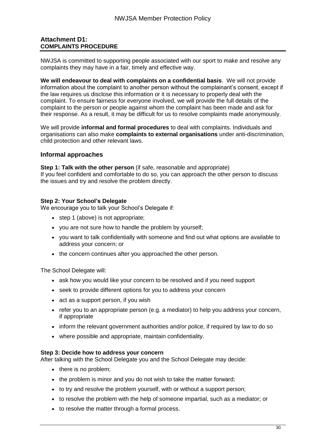### **Attachment D1: COMPLAINTS PROCEDURE**

NWJSA is committed to supporting people associated with our sport to make and resolve any complaints they may have in a fair, timely and effective way.

**We will endeavour to deal with complaints on a confidential basis**. We will not provide information about the complaint to another person without the complainant's consent, except if the law requires us disclose this information or it is necessary to properly deal with the complaint. To ensure fairness for everyone involved, we will provide the full details of the complaint to the person or people against whom the complaint has been made and ask for their response. As a result, it may be difficult for us to resolve complaints made anonymously.

We will provide **informal and formal procedures** to deal with complaints. Individuals and organisations can also make **complaints to external organisations** under anti-discrimination, child protection and other relevant laws.

### **Informal approaches**

**Step 1: Talk with the other person** (if safe, reasonable and appropriate) If you feel confident and comfortable to do so, you can approach the other person to discuss the issues and try and resolve the problem directly.

### **Step 2: Your School's Delegate**

We encourage you to talk your School's Delegate if:

- step 1 (above) is not appropriate;
- you are not sure how to handle the problem by yourself;
- you want to talk confidentially with someone and find out what options are available to address your concern; or
- the concern continues after you approached the other person.

The School Delegate will:

- ask how you would like your concern to be resolved and if you need support
- seek to provide different options for you to address your concern
- act as a support person, if you wish
- $\bullet$  refer you to an appropriate person (e.g. a mediator) to help you address your concern, if appropriate
- inform the relevant government authorities and/or police, if required by law to do so
- where possible and appropriate, maintain confidentiality.

### **Step 3: Decide how to address your concern**

After talking with the School Delegate you and the School Delegate may decide:

- there is no problem;
- the problem is minor and you do not wish to take the matter forward;
- to try and resolve the problem yourself, with or without a support person;
- to resolve the problem with the help of someone impartial, such as a mediator; or
- to resolve the matter through a formal process.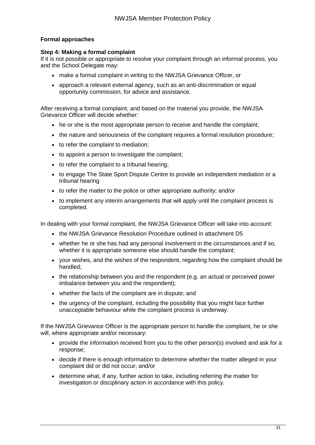### **Formal approaches**

### **Step 4: Making a formal complaint**

If it is not possible or appropriate to resolve your complaint through an informal process, you and the School Delegate may:

- make a formal complaint in writing to the NWJSA Grievance Officer, or
- approach a relevant external agency, such as an anti-discrimination or equal opportunity commission, for advice and assistance.

After receiving a formal complaint, and based on the material you provide, the NWJSA Grievance Officer will decide whether:

- he or she is the most appropriate person to receive and handle the complaint;
- the nature and seriousness of the complaint requires a formal resolution procedure;
- to refer the complaint to mediation;
- to appoint a person to investigate the complaint;
- to refer the complaint to a tribunal hearing;
- to engage The State Sport Dispute Centre to provide an independent mediation or a tribunal hearing
- to refer the matter to the police or other appropriate authority; and/or
- to implement any interim arrangements that will apply until the complaint process is completed.

In dealing with your formal complaint, the NWJSA Grievance Officer will take into account:

- the NWJSA Grievance Resolution Procedure outlined in attachment D5
- whether he or she has had any personal involvement in the circumstances and if so, whether it is appropriate someone else should handle the complaint;
- your wishes, and the wishes of the respondent, regarding how the complaint should be handled;
- the relationship between you and the respondent (e.g. an actual or perceived power imbalance between you and the respondent);
- whether the facts of the complaint are in dispute; and
- the urgency of the complaint, including the possibility that you might face further unacceptable behaviour while the complaint process is underway.

If the NWJSA Grievance Officer is the appropriate person to handle the complaint, he or she will, where appropriate and/or necessary:

- provide the information received from you to the other person(s) involved and ask for a response;
- decide if there is enough information to determine whether the matter alleged in your complaint did or did not occur; and/or
- determine what, if any, further action to take, including referring the matter for investigation or disciplinary action in accordance with this policy.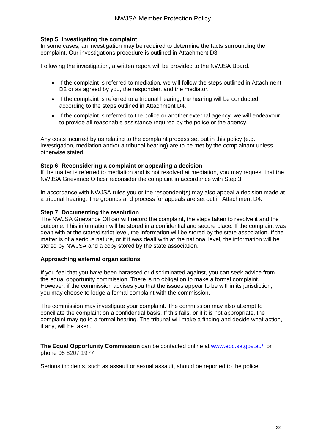### **Step 5: Investigating the complaint**

In some cases, an investigation may be required to determine the facts surrounding the complaint. Our investigations procedure is outlined in Attachment D3*.* 

Following the investigation, a written report will be provided to the NWJSA Board.

- If the complaint is referred to mediation, we will follow the steps outlined in Attachment D2 or as agreed by you, the respondent and the mediator.
- If the complaint is referred to a tribunal hearing, the hearing will be conducted according to the steps outlined in Attachment D4.
- If the complaint is referred to the police or another external agency, we will endeavour to provide all reasonable assistance required by the police or the agency.

Any costs incurred by us relating to the complaint process set out in this policy (e.g. investigation, mediation and/or a tribunal hearing) are to be met by the complainant unless otherwise stated.

#### **Step 6: Reconsidering a complaint or appealing a decision**

If the matter is referred to mediation and is not resolved at mediation, you may request that the NWJSA Grievance Officer reconsider the complaint in accordance with Step 3.

In accordance with NWJSA rules you or the respondent(s) may also appeal a decision made at a tribunal hearing. The grounds and process for appeals are set out in Attachment D4.

#### **Step 7: Documenting the resolution**

The NWJSA Grievance Officer will record the complaint, the steps taken to resolve it and the outcome. This information will be stored in a confidential and secure place. If the complaint was dealt with at the state/district level, the information will be stored by the state association. If the matter is of a serious nature, or if it was dealt with at the national level, the information will be stored by NWJSA and a copy stored by the state association.

### **Approaching external organisations**

If you feel that you have been harassed or discriminated against, you can seek advice from the equal opportunity commission. There is no obligation to make a formal complaint. However, if the commission advises you that the issues appear to be within its jurisdiction, you may choose to lodge a formal complaint with the commission.

The commission may investigate your complaint. The commission may also attempt to conciliate the complaint on a confidential basis. If this fails, or if it is not appropriate, the complaint may go to a formal hearing. The tribunal will make a finding and decide what action, if any, will be taken.

**The Equal Opportunity Commission** can be contacted online at [www.eoc.sa.gov.au/](http://www.eoc.sa.gov.au/) or phone 08 8207 1977

Serious incidents, such as assault or sexual assault, should be reported to the police.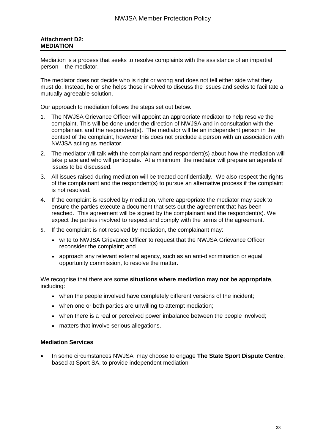### **Attachment D2: MEDIATION**

Mediation is a process that seeks to resolve complaints with the assistance of an impartial person – the mediator.

The mediator does not decide who is right or wrong and does not tell either side what they must do. Instead, he or she helps those involved to discuss the issues and seeks to facilitate a mutually agreeable solution.

Our approach to mediation follows the steps set out below*.*

- 1. The NWJSA Grievance Officer will appoint an appropriate mediator to help resolve the complaint. This will be done under the direction of NWJSA and in consultation with the complainant and the respondent(s). The mediator will be an independent person in the context of the complaint, however this does not preclude a person with an association with NWJSA acting as mediator.
- 2. The mediator will talk with the complainant and respondent(s) about how the mediation will take place and who will participate. At a minimum, the mediator will prepare an agenda of issues to be discussed.
- 3. All issues raised during mediation will be treated confidentially. We also respect the rights of the complainant and the respondent(s) to pursue an alternative process if the complaint is not resolved.
- 4. If the complaint is resolved by mediation, where appropriate the mediator may seek to ensure the parties execute a document that sets out the agreement that has been reached. This agreement will be signed by the complainant and the respondent(s). We expect the parties involved to respect and comply with the terms of the agreement.
- 5. If the complaint is not resolved by mediation, the complainant may:
	- write to NWJSA Grievance Officer to request that the NWJSA Grievance Officer reconsider the complaint; and
	- approach any relevant external agency, such as an anti-discrimination or equal opportunity commission, to resolve the matter.

We recognise that there are some **situations where mediation may not be appropriate**, including:

- when the people involved have completely different versions of the incident;
- when one or both parties are unwilling to attempt mediation;
- when there is a real or perceived power imbalance between the people involved;
- matters that involve serious allegations.

### **Mediation Services**

 In some circumstances NWJSA may choose to engage **The State Sport Dispute Centre**, based at Sport SA, to provide independent mediation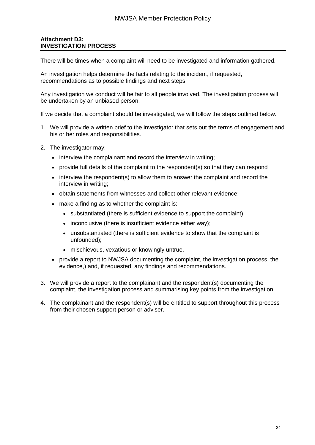### **Attachment D3: INVESTIGATION PROCESS**

There will be times when a complaint will need to be investigated and information gathered.

An investigation helps determine the facts relating to the incident, if requested, recommendations as to possible findings and next steps.

Any investigation we conduct will be fair to all people involved. The investigation process will be undertaken by an unbiased person.

If we decide that a complaint should be investigated, we will follow the steps outlined below.

- 1. We will provide a written brief to the investigator that sets out the terms of engagement and his or her roles and responsibilities.
- 2. The investigator may:
	- interview the complainant and record the interview in writing;
	- provide full details of the complaint to the respondent(s) so that they can respond
	- $\bullet$  interview the respondent(s) to allow them to answer the complaint and record the interview in writing;
	- obtain statements from witnesses and collect other relevant evidence;
	- make a finding as to whether the complaint is:
		- substantiated (there is sufficient evidence to support the complaint)
		- inconclusive (there is insufficient evidence either way);
		- unsubstantiated (there is sufficient evidence to show that the complaint is unfounded);
		- mischievous, vexatious or knowingly untrue.
	- provide a report to NWJSA documenting the complaint, the investigation process, the evidence,) and, if requested, any findings and recommendations.
- 3. We will provide a report to the complainant and the respondent(s) documenting the complaint, the investigation process and summarising key points from the investigation.
- 4. The complainant and the respondent(s) will be entitled to support throughout this process from their chosen support person or adviser.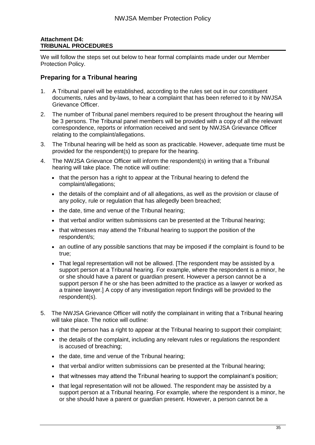### **Attachment D4: TRIBUNAL PROCEDURES**

We will follow the steps set out below to hear formal complaints made under our Member Protection Policy.

### **Preparing for a Tribunal hearing**

- 1. A Tribunal panel will be established, according to the rules set out in our constituent documents, rules and by-laws, to hear a complaint that has been referred to it by NWJSA Grievance Officer.
- 2. The number of Tribunal panel members required to be present throughout the hearing will be 3 persons. The Tribunal panel members will be provided with a copy of all the relevant correspondence, reports or information received and sent by NWJSA Grievance Officer relating to the complaint/allegations.
- 3. The Tribunal hearing will be held as soon as practicable. However, adequate time must be provided for the respondent(s) to prepare for the hearing.
- 4. The NWJSA Grievance Officer will inform the respondent(s) in writing that a Tribunal hearing will take place. The notice will outline:
	- that the person has a right to appear at the Tribunal hearing to defend the complaint/allegations;
	- the details of the complaint and of all allegations, as well as the provision or clause of any policy, rule or regulation that has allegedly been breached;
	- the date, time and venue of the Tribunal hearing;
	- that verbal and/or written submissions can be presented at the Tribunal hearing;
	- that witnesses may attend the Tribunal hearing to support the position of the respondent/s;
	- an outline of any possible sanctions that may be imposed if the complaint is found to be true;
	- That legal representation will not be allowed. [The respondent may be assisted by a support person at a Tribunal hearing. For example, where the respondent is a minor, he or she should have a parent or guardian present. However a person cannot be a support person if he or she has been admitted to the practice as a lawyer or worked as a trainee lawyer.] A copy of any investigation report findings will be provided to the respondent(s).
- 5. The NWJSA Grievance Officer will notify the complainant in writing that a Tribunal hearing will take place. The notice will outline:
	- that the person has a right to appear at the Tribunal hearing to support their complaint;
	- the details of the complaint, including any relevant rules or regulations the respondent is accused of breaching;
	- the date, time and venue of the Tribunal hearing;
	- that verbal and/or written submissions can be presented at the Tribunal hearing;
	- that witnesses may attend the Tribunal hearing to support the complainant's position;
	- that legal representation will not be allowed. The respondent may be assisted by a support person at a Tribunal hearing. For example, where the respondent is a minor, he or she should have a parent or guardian present. However, a person cannot be a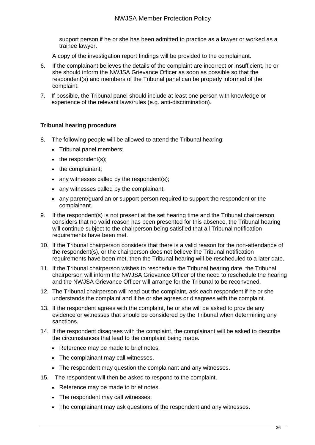support person if he or she has been admitted to practice as a lawyer or worked as a trainee lawyer.

- A copy of the investigation report findings will be provided to the complainant.
- 6. If the complainant believes the details of the complaint are incorrect or insufficient, he or she should inform the NWJSA Grievance Officer as soon as possible so that the respondent(s) and members of the Tribunal panel can be properly informed of the complaint.
- 7. If possible, the Tribunal panel should include at least one person with knowledge or experience of the relevant laws/rules (e.g. anti-discrimination).

### **Tribunal hearing procedure**

- 8. The following people will be allowed to attend the Tribunal hearing:
	- Tribunal panel members;
	- $\bullet$  the respondent(s);
	- the complainant;
	- any witnesses called by the respondent(s);
	- any witnesses called by the complainant;
	- any parent/guardian or support person required to support the respondent or the complainant.
- 9. If the respondent(s) is not present at the set hearing time and the Tribunal chairperson considers that no valid reason has been presented for this absence, the Tribunal hearing will continue subject to the chairperson being satisfied that all Tribunal notification requirements have been met.
- 10. If the Tribunal chairperson considers that there is a valid reason for the non-attendance of the respondent(s), or the chairperson does not believe the Tribunal notification requirements have been met, then the Tribunal hearing will be rescheduled to a later date.
- 11. If the Tribunal chairperson wishes to reschedule the Tribunal hearing date, the Tribunal chairperson will inform the NWJSA Grievance Officer of the need to reschedule the hearing and the NWJSA Grievance Officer will arrange for the Tribunal to be reconvened.
- 12. The Tribunal chairperson will read out the complaint, ask each respondent if he or she understands the complaint and if he or she agrees or disagrees with the complaint.
- 13. If the respondent agrees with the complaint, he or she will be asked to provide any evidence or witnesses that should be considered by the Tribunal when determining any sanctions.
- 14. If the respondent disagrees with the complaint, the complainant will be asked to describe the circumstances that lead to the complaint being made.
	- Reference may be made to brief notes.
	- The complainant may call witnesses.
	- The respondent may question the complainant and any witnesses.
- 15. The respondent will then be asked to respond to the complaint.
	- Reference may be made to brief notes.
	- The respondent may call witnesses.
	- The complainant may ask questions of the respondent and any witnesses.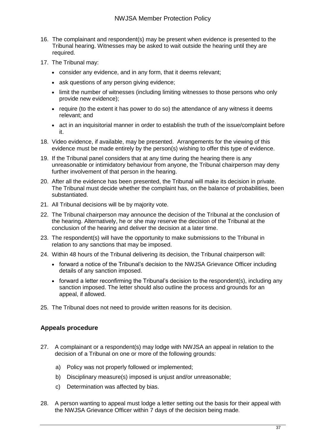- 16. The complainant and respondent(s) may be present when evidence is presented to the Tribunal hearing. Witnesses may be asked to wait outside the hearing until they are required.
- 17. The Tribunal may:
	- consider any evidence, and in any form, that it deems relevant;
	- ask questions of any person giving evidence;
	- limit the number of witnesses (including limiting witnesses to those persons who only provide new evidence);
	- require (to the extent it has power to do so) the attendance of any witness it deems relevant; and
	- act in an inquisitorial manner in order to establish the truth of the issue/complaint before it.
- 18. Video evidence, if available, may be presented. Arrangements for the viewing of this evidence must be made entirely by the person(s) wishing to offer this type of evidence.
- 19. If the Tribunal panel considers that at any time during the hearing there is any unreasonable or intimidatory behaviour from anyone, the Tribunal chairperson may deny further involvement of that person in the hearing.
- 20. After all the evidence has been presented, the Tribunal will make its decision in private. The Tribunal must decide whether the complaint has, on the balance of probabilities, been substantiated.
- 21. All Tribunal decisions will be by majority vote.
- 22. The Tribunal chairperson may announce the decision of the Tribunal at the conclusion of the hearing. Alternatively, he or she may reserve the decision of the Tribunal at the conclusion of the hearing and deliver the decision at a later time.
- 23. The respondent(s) will have the opportunity to make submissions to the Tribunal in relation to any sanctions that may be imposed.
- 24. Within 48 hours of the Tribunal delivering its decision, the Tribunal chairperson will:
	- forward a notice of the Tribunal's decision to the NWJSA Grievance Officer including details of any sanction imposed.
	- forward a letter reconfirming the Tribunal's decision to the respondent(s), including any sanction imposed. The letter should also outline the process and grounds for an appeal, if allowed.
- 25. The Tribunal does not need to provide written reasons for its decision.

### **Appeals procedure**

- 27. A complainant or a respondent(s) may lodge with NWJSA an appeal in relation to the decision of a Tribunal on one or more of the following grounds:
	- a) Policy was not properly followed or implemented;
	- b) Disciplinary measure(s) imposed is unjust and/or unreasonable;
	- c) Determination was affected by bias.
- 28. A person wanting to appeal must lodge a letter setting out the basis for their appeal with the NWJSA Grievance Officer within 7 days of the decision being made*.*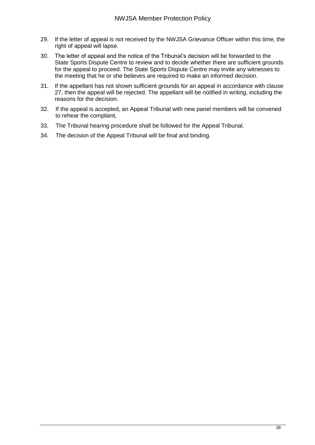- 29. If the letter of appeal is not received by the NWJSA Grievance Officer within this time, the right of appeal will lapse.
- 30. The letter of appeal and the notice of the Tribunal's decision will be forwarded to the State Sports Dispute Centre to review and to decide whether there are sufficient grounds for the appeal to proceed. The State Sports Dispute Centre may invite any witnesses to the meeting that he or she believes are required to make an informed decision.
- 31. If the appellant has not shown sufficient grounds for an appeal in accordance with clause 27, then the appeal will be rejected. The appellant will be notified in writing, including the reasons for the decision.
- 32. If the appeal is accepted, an Appeal Tribunal with new panel members will be convened to rehear the complaint*,*
- 33. The Tribunal hearing procedure shall be followed for the Appeal Tribunal.
- 34. The decision of the Appeal Tribunal will be final and binding.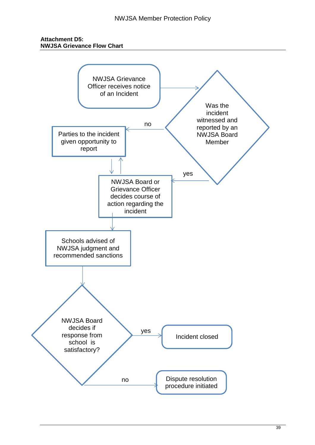### **Attachment D5: NWJSA Grievance Flow Chart**

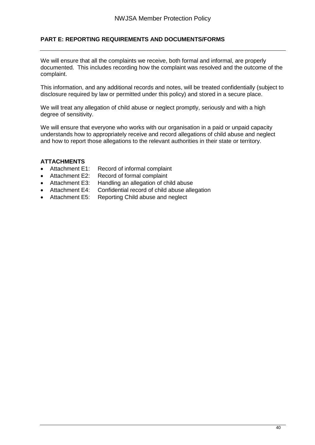### **PART E: REPORTING REQUIREMENTS AND DOCUMENTS/FORMS**

We will ensure that all the complaints we receive, both formal and informal, are properly documented. This includes recording how the complaint was resolved and the outcome of the complaint.

This information, and any additional records and notes, will be treated confidentially (subject to disclosure required by law or permitted under this policy) and stored in a secure place.

We will treat any allegation of child abuse or neglect promptly, seriously and with a high degree of sensitivity.

We will ensure that everyone who works with our organisation in a paid or unpaid capacity understands how to appropriately receive and record allegations of child abuse and neglect and how to report those allegations to the relevant authorities in their state or territory.

### **ATTACHMENTS**

- Attachment E1: Record of informal complaint
- Attachment E2: Record of formal complaint
- Attachment E3: Handling an allegation of child abuse
- Attachment E4: Confidential record of child abuse allegation
- Attachment E5: Reporting Child abuse and neglect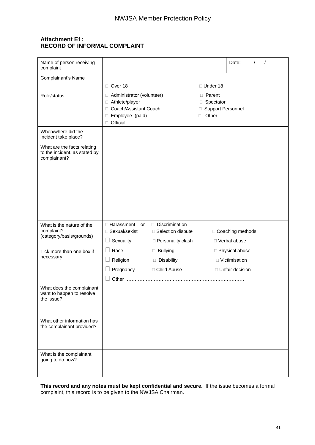### **Attachment E1: RECORD OF INFORMAL COMPLAINT**

| Name of person receiving<br>complaint                                        |                                                                                                                        |                     |                                                              | Date:              |
|------------------------------------------------------------------------------|------------------------------------------------------------------------------------------------------------------------|---------------------|--------------------------------------------------------------|--------------------|
| Complainant's Name                                                           |                                                                                                                        |                     |                                                              |                    |
|                                                                              | Over 18                                                                                                                |                     | □ Under 18                                                   |                    |
| Role/status                                                                  | Administrator (volunteer)<br>□ Athlete/player<br>Coach/Assistant Coach<br>$\Box$<br>Employee (paid)<br>0<br>□ Official |                     | □ Parent<br>□ Spectator<br>□ Support Personnel<br>Other<br>П |                    |
| When/where did the<br>incident take place?                                   |                                                                                                                        |                     |                                                              |                    |
| What are the facts relating<br>to the incident, as stated by<br>complainant? |                                                                                                                        |                     |                                                              |                    |
| What is the nature of the                                                    | $\Box$ Harassment<br>or                                                                                                | Discrimination      |                                                              |                    |
| complaint?<br>(category/basis/grounds)                                       | □ Sexual/sexist                                                                                                        | □ Selection dispute |                                                              | □ Coaching methods |
|                                                                              | Sexuality<br>ப                                                                                                         | □ Personality clash |                                                              | □ Verbal abuse     |
| Tick more than one box if                                                    | Race<br>H                                                                                                              | <b>Bullying</b>     |                                                              | □ Physical abuse   |
| necessary                                                                    | Religion                                                                                                               | Disability          |                                                              | □ Victimisation    |
|                                                                              | Pregnancy                                                                                                              | □ Child Abuse       |                                                              | □ Unfair decision  |
|                                                                              | Other                                                                                                                  |                     |                                                              |                    |
| What does the complainant<br>want to happen to resolve<br>the issue?         |                                                                                                                        |                     |                                                              |                    |
| What other information has<br>the complainant provided?                      |                                                                                                                        |                     |                                                              |                    |
| What is the complainant<br>going to do now?                                  |                                                                                                                        |                     |                                                              |                    |

**This record and any notes must be kept confidential and secure.** If the issue becomes a formal complaint, this record is to be given to the NWJSA Chairman.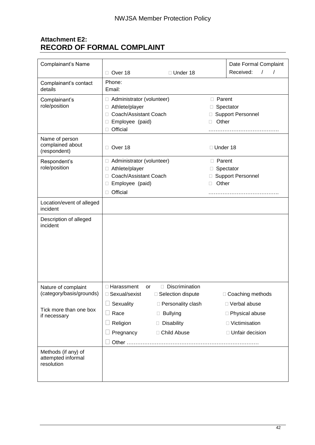## **Attachment E2: RECORD OF FORMAL COMPLAINT**

| Complainant's Name                                      |                                               |                      |                 | Date Formal Complaint    |  |
|---------------------------------------------------------|-----------------------------------------------|----------------------|-----------------|--------------------------|--|
|                                                         | Over 18                                       | □ Under 18           |                 | Received:<br>$\prime$    |  |
| Complainant's contact                                   | Phone:                                        |                      |                 |                          |  |
| details                                                 | Email:                                        |                      |                 |                          |  |
| Complainant's                                           | □ Administrator (volunteer)                   |                      | <b>D</b> Parent |                          |  |
| role/position                                           | □ Athlete/player                              |                      |                 | Spectator                |  |
|                                                         | Coach/Assistant Coach<br>П.                   |                      | Other           | <b>Support Personnel</b> |  |
|                                                         | Employee (paid)<br>Ш<br>Official<br>П.        |                      |                 |                          |  |
| Name of person                                          |                                               |                      |                 |                          |  |
| complained about<br>(respondent)                        | □ Over 18                                     |                      | □ Under 18      |                          |  |
| Respondent's                                            | □ Administrator (volunteer)                   |                      | <b>D</b> Parent |                          |  |
| role/position                                           | Athlete/player<br>Ω.<br>Coach/Assistant Coach |                      |                 | Spectator                |  |
|                                                         | Employee (paid)<br>ш                          |                      | Other<br>П      | <b>Support Personnel</b> |  |
|                                                         | □ Official                                    |                      |                 |                          |  |
|                                                         |                                               |                      |                 |                          |  |
| Location/event of alleged<br>incident                   |                                               |                      |                 |                          |  |
| Description of alleged<br>incident                      |                                               |                      |                 |                          |  |
|                                                         |                                               |                      |                 |                          |  |
| Nature of complaint                                     | □ Harassment<br>or                            | Discrimination<br>П. |                 |                          |  |
| (category/basis/grounds)                                | □ Sexual/sexist                               | □ Selection dispute  |                 | □ Coaching methods       |  |
| Tick more than one box                                  | $\Box$ Sexuality                              | □ Personality clash  |                 | □ Verbal abuse           |  |
| if necessary                                            | Race                                          | $\Box$ Bullying      |                 | □ Physical abuse         |  |
|                                                         | Religion                                      | Disability           |                 | □ Victimisation          |  |
|                                                         | Pregnancy                                     | □ Child Abuse        |                 | □ Unfair decision        |  |
|                                                         |                                               |                      |                 |                          |  |
| Methods (if any) of<br>attempted informal<br>resolution |                                               |                      |                 |                          |  |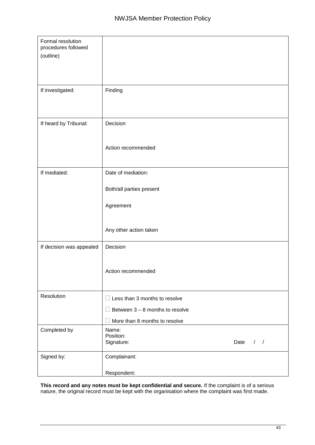| Formal resolution<br>procedures followed |                                                                  |               |
|------------------------------------------|------------------------------------------------------------------|---------------|
| (outline)                                |                                                                  |               |
|                                          |                                                                  |               |
| If investigated:                         | Finding                                                          |               |
|                                          |                                                                  |               |
| If heard by Tribunal:                    | Decision                                                         |               |
|                                          |                                                                  |               |
|                                          | Action recommended                                               |               |
| If mediated:                             | Date of mediation:                                               |               |
|                                          | Both/all parties present                                         |               |
|                                          | Agreement                                                        |               |
|                                          |                                                                  |               |
|                                          | Any other action taken                                           |               |
| If decision was appealed                 | Decision                                                         |               |
|                                          | Action recommended                                               |               |
|                                          |                                                                  |               |
| Resolution                               | $\Box$ Less than 3 months to resolve                             |               |
|                                          | Between 3 - 8 months to resolve<br>More than 8 months to resolve |               |
|                                          | Name:                                                            |               |
| Completed by                             | Position:                                                        |               |
|                                          | Signature:<br>Date                                               | $\frac{1}{2}$ |
| Signed by:                               | Complainant:                                                     |               |
|                                          | Respondent:                                                      |               |

**This record and any notes must be kept confidential and secure.** If the complaint is of a serious nature, the original record must be kept with the organisation where the complaint was first made.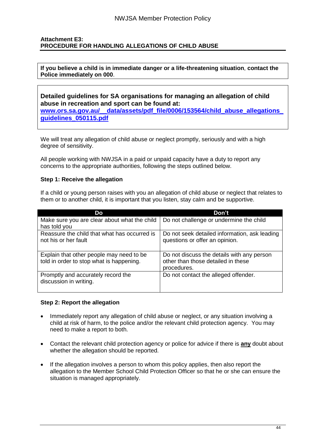### **Attachment E3: PROCEDURE FOR HANDLING ALLEGATIONS OF CHILD ABUSE**

**If you believe a child is in immediate danger or a life-threatening situation**, **contact the Police immediately on 000**.

**Detailed guidelines for SA organisations for managing an allegation of child abuse in recreation and sport can be found at:** 

**[www.ors.sa.gov.au/\\_\\_data/assets/pdf\\_file/0006/153564/child\\_abuse\\_allegations\\_](http://www.ors.sa.gov.au/__data/assets/pdf_file/0006/153564/child_abuse_allegations_guidelines_050115.pdf) [guidelines\\_050115.pdf](http://www.ors.sa.gov.au/__data/assets/pdf_file/0006/153564/child_abuse_allegations_guidelines_050115.pdf)**

We will treat any allegation of child abuse or neglect promptly, seriously and with a high degree of sensitivity.

All people working with NWJSA in a paid or unpaid capacity have a duty to report any concerns to the appropriate authorities, following the steps outlined below.

#### **Step 1: Receive the allegation**

If a child or young person raises with you an allegation of child abuse or neglect that relates to them or to another child, it is important that you listen, stay calm and be supportive.

| Do                                                                                   | Don't                                                                                           |
|--------------------------------------------------------------------------------------|-------------------------------------------------------------------------------------------------|
| Make sure you are clear about what the child<br>has told you                         | Do not challenge or undermine the child                                                         |
| Reassure the child that what has occurred is<br>not his or her fault                 | Do not seek detailed information, ask leading<br>questions or offer an opinion.                 |
| Explain that other people may need to be<br>told in order to stop what is happening. | Do not discuss the details with any person<br>other than those detailed in these<br>procedures. |
| Promptly and accurately record the<br>discussion in writing.                         | Do not contact the alleged offender.                                                            |

#### **Step 2: Report the allegation**

- Immediately report any allegation of child abuse or neglect, or any situation involving a child at risk of harm, to the police and/or the relevant child protection agency. You may need to make a report to both.
- Contact the relevant child protection agency or police for advice if there is **any** doubt about whether the allegation should be reported.
- If the allegation involves a person to whom this policy applies, then also report the allegation to the Member School Child Protection Officer so that he or she can ensure the situation is managed appropriately.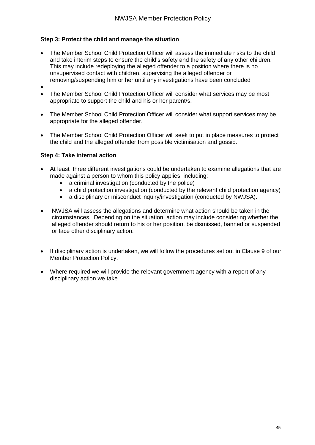### **Step 3: Protect the child and manage the situation**

- The Member School Child Protection Officer will assess the immediate risks to the child and take interim steps to ensure the child's safety and the safety of any other children. This may include redeploying the alleged offender to a position where there is no unsupervised contact with children, supervising the alleged offender or removing/suspending him or her until any investigations have been concluded
- $\bullet$
- The Member School Child Protection Officer will consider what services may be most appropriate to support the child and his or her parent/s.
- The Member School Child Protection Officer will consider what support services may be appropriate for the alleged offender.
- The Member School Child Protection Officer will seek to put in place measures to protect the child and the alleged offender from possible victimisation and gossip.

### **Step 4: Take internal action**

- At least three different investigations could be undertaken to examine allegations that are made against a person to whom this policy applies, including:
	- a criminal investigation (conducted by the police)
	- a child protection investigation (conducted by the relevant child protection agency)
	- a disciplinary or misconduct inquiry/investigation (conducted by NWJSA).
- NWJSA will assess the allegations and determine what action should be taken in the circumstances. Depending on the situation, action may include considering whether the alleged offender should return to his or her position, be dismissed, banned or suspended or face other disciplinary action.
- If disciplinary action is undertaken, we will follow the procedures set out in Clause 9 of our Member Protection Policy.
- Where required we will provide the relevant government agency with a report of any disciplinary action we take.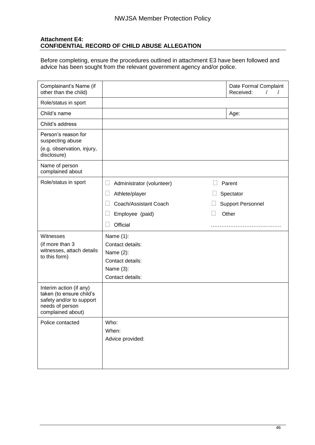### **Attachment E4: CONFIDENTIAL RECORD OF CHILD ABUSE ALLEGATION**

Before completing, ensure the procedures outlined in attachment E3 have been followed and advice has been sought from the relevant government agency and/or police.

|                                            |                  | Date Formal Complaint<br>Received:<br>$\prime$<br>$\prime$ |
|--------------------------------------------|------------------|------------------------------------------------------------|
|                                            |                  |                                                            |
|                                            |                  | Age:                                                       |
|                                            |                  |                                                            |
|                                            |                  |                                                            |
|                                            |                  |                                                            |
|                                            |                  |                                                            |
| ⊔<br>Administrator (volunteer)             |                  | Parent                                                     |
| Athlete/player                             |                  | Spectator                                                  |
| Coach/Assistant Coach                      |                  | <b>Support Personnel</b>                                   |
| Employee (paid)                            |                  | Other                                                      |
| Official                                   |                  | .                                                          |
| Name (1):<br>Contact details:<br>Name (2): |                  |                                                            |
| Contact details:                           |                  |                                                            |
| Name (3):                                  |                  |                                                            |
|                                            |                  |                                                            |
|                                            |                  |                                                            |
| Who:<br>When:<br>Advice provided:          |                  |                                                            |
|                                            | Contact details: |                                                            |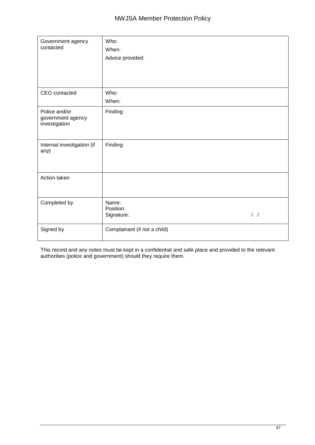| Government agency<br>contacted                      | Who:<br>When:<br>Advice provided:                 |
|-----------------------------------------------------|---------------------------------------------------|
| CEO contacted                                       | Who:<br>When:                                     |
| Police and/or<br>government agency<br>investigation | Finding:                                          |
| Internal investigation (if<br>any)                  | Finding:                                          |
| Action taken                                        |                                                   |
| Completed by                                        | Name:<br>Position:<br>$\frac{1}{2}$<br>Signature: |
| Signed by                                           | Complainant (if not a child)                      |

This record and any notes must be kept in a confidential and safe place and provided to the relevant authorities (police and government) should they require them.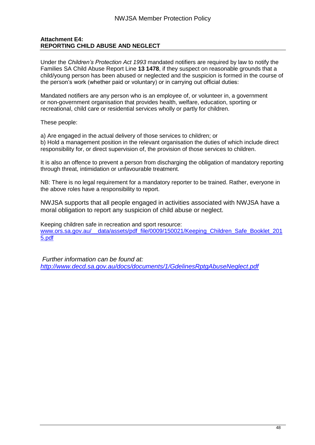### **Attachment E4: REPORTING CHILD ABUSE AND NEGLECT**

Under the *Children's Protection Act 1993* mandated notifiers are required by law to notify the Families SA Child Abuse Report Line **13 1478**, if they suspect on reasonable grounds that a child/young person has been abused or neglected and the suspicion is formed in the course of the person's work (whether paid or voluntary) or in carrying out official duties:

Mandated notifiers are any person who is an employee of, or volunteer in, a government or non-government organisation that provides health, welfare, education, sporting or recreational, child care or residential services wholly or partly for children.

These people:

a) Are engaged in the actual delivery of those services to children; or

b) Hold a management position in the relevant organisation the duties of which include direct responsibility for, or direct supervision of, the provision of those services to children.

It is also an offence to prevent a person from discharging the obligation of mandatory reporting through threat, intimidation or unfavourable treatment.

NB: There is no legal requirement for a mandatory reporter to be trained. Rather, everyone in the above roles have a responsibility to report.

NWJSA supports that all people engaged in activities associated with NWJSA have a moral obligation to report any suspicion of child abuse or neglect.

Keeping children safe in recreation and sport resource: [www.ors.sa.gov.au/\\_\\_data/assets/pdf\\_file/0009/150021/Keeping\\_Children\\_Safe\\_Booklet\\_201](http://www.ors.sa.gov.au/__data/assets/pdf_file/0009/150021/Keeping_Children_Safe_Booklet_2015.pdf) [5.pdf](http://www.ors.sa.gov.au/__data/assets/pdf_file/0009/150021/Keeping_Children_Safe_Booklet_2015.pdf)

*Further information can be found at: <http://www.decd.sa.gov.au/docs/documents/1/GdelinesRptgAbuseNeglect.pdf>*